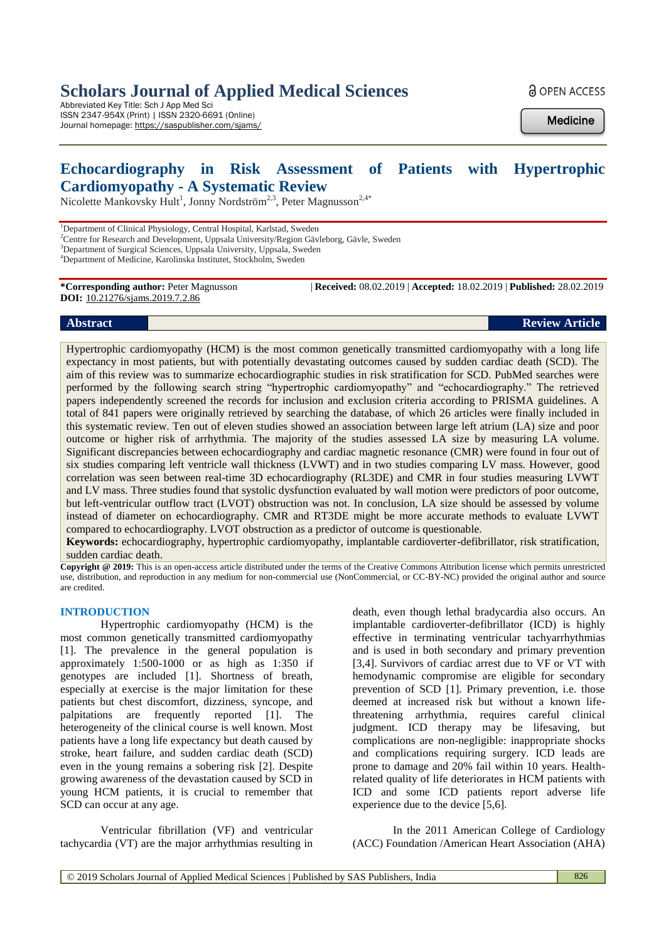# **Scholars Journal of Applied Medical Sciences**

Abbreviated Key Title: Sch J App Med Sci ISSN 2347-954X (Print) | ISSN 2320-6691 (Online) Journal homepage: <https://saspublisher.com/sjams/> **a** OPEN ACCESS

**Medicine** 

# **Echocardiography in Risk Assessment of Patients with Hypertrophic Cardiomyopathy - A Systematic Review**

Nicolette Mankovsky Hult<sup>1</sup>, Jonny Nordström<sup>2,3</sup>, Peter Magnusson<sup>2,4\*</sup>

<sup>1</sup>Department of Clinical Physiology, Central Hospital, Karlstad, Sweden

<sup>2</sup>Centre for Research and Development, Uppsala University/Region Gävleborg, Gävle, Sweden

<sup>3</sup>Department of Surgical Sciences, Uppsala University, Uppsala, Sweden

**DOI:** 10.21276/sjams.2019.7.2.86

**\*Corresponding author:** Peter Magnusson | **Received:** 08.02.2019 | **Accepted:** 18.02.2019 | **Published:** 28.02.2019

### **Abstract Review Article**

Hypertrophic cardiomyopathy (HCM) is the most common genetically transmitted cardiomyopathy with a long life expectancy in most patients, but with potentially devastating outcomes caused by sudden cardiac death (SCD). The aim of this review was to summarize echocardiographic studies in risk stratification for SCD. PubMed searches were performed by the following search string "hypertrophic cardiomyopathy" and "echocardiography." The retrieved papers independently screened the records for inclusion and exclusion criteria according to PRISMA guidelines. A total of 841 papers were originally retrieved by searching the database, of which 26 articles were finally included in this systematic review. Ten out of eleven studies showed an association between large left atrium (LA) size and poor outcome or higher risk of arrhythmia. The majority of the studies assessed LA size by measuring LA volume. Significant discrepancies between echocardiography and cardiac magnetic resonance (CMR) were found in four out of six studies comparing left ventricle wall thickness (LVWT) and in two studies comparing LV mass. However, good correlation was seen between real-time 3D echocardiography (RL3DE) and CMR in four studies measuring LVWT and LV mass. Three studies found that systolic dysfunction evaluated by wall motion were predictors of poor outcome, but left-ventricular outflow tract (LVOT) obstruction was not. In conclusion, LA size should be assessed by volume instead of diameter on echocardiography. CMR and RT3DE might be more accurate methods to evaluate LVWT compared to echocardiography. LVOT obstruction as a predictor of outcome is questionable.

**Keywords:** echocardiography, hypertrophic cardiomyopathy, implantable cardioverter-defibrillator, risk stratification, sudden cardiac death.

**Copyright @ 2019:** This is an open-access article distributed under the terms of the Creative Commons Attribution license which permits unrestricted use, distribution, and reproduction in any medium for non-commercial use (NonCommercial, or CC-BY-NC) provided the original author and source are credited.

#### **INTRODUCTION**

Hypertrophic cardiomyopathy (HCM) is the most common genetically transmitted cardiomyopathy [1]. The prevalence in the general population is approximately 1:500-1000 or as high as 1:350 if genotypes are included [1]. Shortness of breath, especially at exercise is the major limitation for these patients but chest discomfort, dizziness, syncope, and palpitations are frequently reported [1]. The heterogeneity of the clinical course is well known. Most patients have a long life expectancy but death caused by stroke, heart failure, and sudden cardiac death (SCD) even in the young remains a sobering risk [2]. Despite growing awareness of the devastation caused by SCD in young HCM patients, it is crucial to remember that SCD can occur at any age.

Ventricular fibrillation (VF) and ventricular tachycardia (VT) are the major arrhythmias resulting in

death, even though lethal bradycardia also occurs. An implantable cardioverter-defibrillator (ICD) is highly effective in terminating ventricular tachyarrhythmias and is used in both secondary and primary prevention [3,4]. Survivors of cardiac arrest due to VF or VT with hemodynamic compromise are eligible for secondary prevention of SCD [1]. Primary prevention, i.e. those deemed at increased risk but without a known lifethreatening arrhythmia, requires careful clinical judgment. ICD therapy may be lifesaving, but complications are non-negligible: inappropriate shocks and complications requiring surgery. ICD leads are prone to damage and 20% fail within 10 years. Healthrelated quality of life deteriorates in HCM patients with ICD and some ICD patients report adverse life experience due to the device [5,6].

In the 2011 American College of Cardiology (ACC) Foundation /American Heart Association (AHA)

<sup>4</sup>Department of Medicine, Karolinska Institutet, Stockholm, Sweden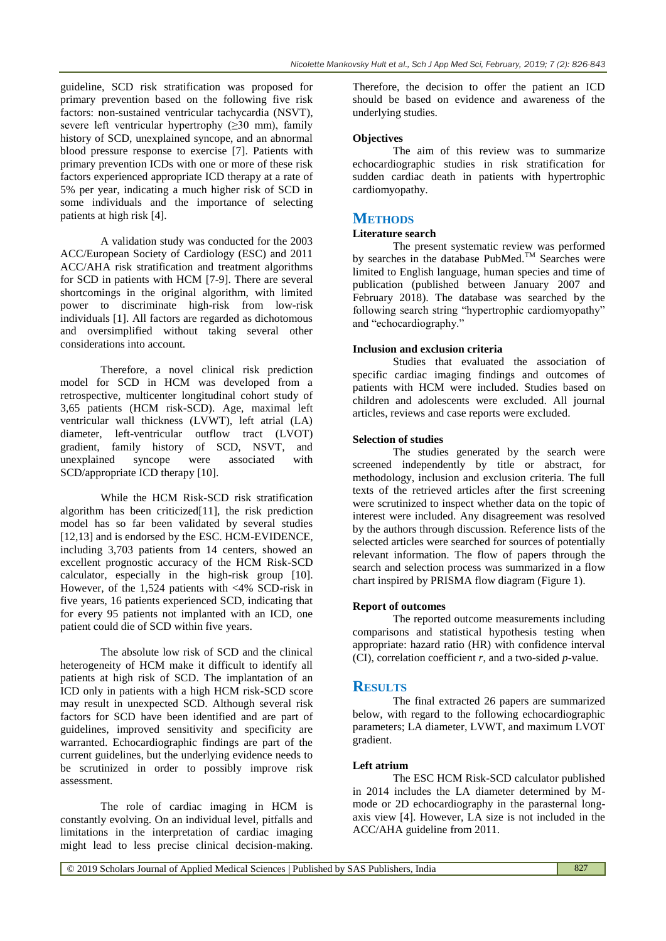guideline, SCD risk stratification was proposed for primary prevention based on the following five risk factors: non-sustained ventricular tachycardia (NSVT), severe left ventricular hypertrophy  $(\geq 30 \text{ mm})$ , family history of SCD, unexplained syncope, and an abnormal blood pressure response to exercise [7]. Patients with primary prevention ICDs with one or more of these risk factors experienced appropriate ICD therapy at a rate of 5% per year, indicating a much higher risk of SCD in some individuals and the importance of selecting patients at high risk [4].

A validation study was conducted for the 2003 ACC/European Society of Cardiology (ESC) and 2011 ACC/AHA risk stratification and treatment algorithms for SCD in patients with HCM [7-9]. There are several shortcomings in the original algorithm, with limited power to discriminate high-risk from low-risk individuals [1]. All factors are regarded as dichotomous and oversimplified without taking several other considerations into account.

Therefore, a novel clinical risk prediction model for SCD in HCM was developed from a retrospective, multicenter longitudinal cohort study of 3,65 patients (HCM risk-SCD). Age, maximal left ventricular wall thickness (LVWT), left atrial (LA) diameter, left-ventricular outflow tract (LVOT) gradient, family history of SCD, NSVT, and unexplained syncope were associated with SCD/appropriate ICD therapy [10].

While the HCM Risk-SCD risk stratification algorithm has been criticized[11], the risk prediction model has so far been validated by several studies [12,13] and is endorsed by the ESC. HCM-EVIDENCE, including 3,703 patients from 14 centers, showed an excellent prognostic accuracy of the HCM Risk-SCD calculator, especially in the high-risk group [10]. However, of the 1,524 patients with <4% SCD-risk in five years, 16 patients experienced SCD, indicating that for every 95 patients not implanted with an ICD, one patient could die of SCD within five years.

The absolute low risk of SCD and the clinical heterogeneity of HCM make it difficult to identify all patients at high risk of SCD. The implantation of an ICD only in patients with a high HCM risk-SCD score may result in unexpected SCD. Although several risk factors for SCD have been identified and are part of guidelines, improved sensitivity and specificity are warranted. Echocardiographic findings are part of the current guidelines, but the underlying evidence needs to be scrutinized in order to possibly improve risk assessment.

The role of cardiac imaging in HCM is constantly evolving. On an individual level, pitfalls and limitations in the interpretation of cardiac imaging might lead to less precise clinical decision-making.

Therefore, the decision to offer the patient an ICD should be based on evidence and awareness of the underlying studies.

## **Objectives**

The aim of this review was to summarize echocardiographic studies in risk stratification for sudden cardiac death in patients with hypertrophic cardiomyopathy.

## **METHODS**

## **Literature search**

The present systematic review was performed by searches in the database PubMed.<sup>TM</sup> Searches were limited to English language, human species and time of publication (published between January 2007 and February 2018). The database was searched by the following search string "hypertrophic cardiomyopathy" and "echocardiography."

## **Inclusion and exclusion criteria**

Studies that evaluated the association of specific cardiac imaging findings and outcomes of patients with HCM were included. Studies based on children and adolescents were excluded. All journal articles, reviews and case reports were excluded.

## **Selection of studies**

The studies generated by the search were screened independently by title or abstract, for methodology, inclusion and exclusion criteria. The full texts of the retrieved articles after the first screening were scrutinized to inspect whether data on the topic of interest were included. Any disagreement was resolved by the authors through discussion. Reference lists of the selected articles were searched for sources of potentially relevant information. The flow of papers through the search and selection process was summarized in a flow chart inspired by PRISMA flow diagram (Figure 1).

#### **Report of outcomes**

The reported outcome measurements including comparisons and statistical hypothesis testing when appropriate: hazard ratio (HR) with confidence interval (CI), correlation coefficient *r*, and a two-sided *p*-value.

## **RESULTS**

The final extracted 26 papers are summarized below, with regard to the following echocardiographic parameters; LA diameter, LVWT, and maximum LVOT gradient.

## **Left atrium**

The ESC HCM Risk-SCD calculator published in 2014 includes the LA diameter determined by Mmode or 2D echocardiography in the parasternal longaxis view [4]. However, LA size is not included in the ACC/AHA guideline from 2011.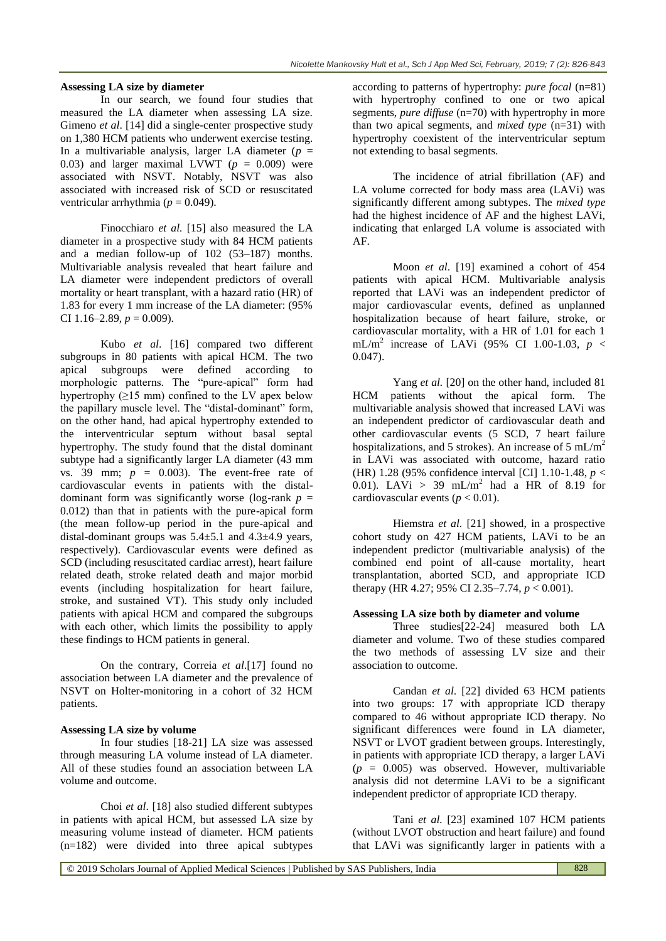#### **Assessing LA size by diameter**

In our search, we found four studies that measured the LA diameter when assessing LA size. Gimeno *et al*. [14] did a single-center prospective study on 1,380 HCM patients who underwent exercise testing. In a multivariable analysis, larger LA diameter  $(p =$ 0.03) and larger maximal LVWT ( $p = 0.009$ ) were associated with NSVT. Notably, NSVT was also associated with increased risk of SCD or resuscitated ventricular arrhythmia ( $p = 0.049$ ).

Finocchiaro *et al.* [15] also measured the LA diameter in a prospective study with 84 HCM patients and a median follow-up of 102 (53–187) months. Multivariable analysis revealed that heart failure and LA diameter were independent predictors of overall mortality or heart transplant, with a hazard ratio (HR) of 1.83 for every 1 mm increase of the LA diameter: (95% CI 1.16–2.89,  $p = 0.009$ ).

Kubo *et al*. [16] compared two different subgroups in 80 patients with apical HCM. The two apical subgroups were defined according to morphologic patterns. The "pure-apical" form had hypertrophy  $(≥15 \text{ mm})$  confined to the LV apex below the papillary muscle level. The "distal-dominant" form, on the other hand, had apical hypertrophy extended to the interventricular septum without basal septal hypertrophy. The study found that the distal dominant subtype had a significantly larger LA diameter (43 mm vs.  $39 \text{ mm}$ ;  $p = 0.003$ ). The event-free rate of cardiovascular events in patients with the distaldominant form was significantly worse (log-rank  $p =$ 0.012) than that in patients with the pure-apical form (the mean follow-up period in the pure-apical and distal-dominant groups was  $5.4 \pm 5.1$  and  $4.3 \pm 4.9$  years, respectively). Cardiovascular events were defined as SCD (including resuscitated cardiac arrest), heart failure related death, stroke related death and major morbid events (including hospitalization for heart failure, stroke, and sustained VT). This study only included patients with apical HCM and compared the subgroups with each other, which limits the possibility to apply these findings to HCM patients in general.

On the contrary, Correia *et al*.[17] found no association between LA diameter and the prevalence of NSVT on Holter-monitoring in a cohort of 32 HCM patients.

#### **Assessing LA size by volume**

In four studies [18-21] LA size was assessed through measuring LA volume instead of LA diameter. All of these studies found an association between LA volume and outcome.

Choi *et al*. [18] also studied different subtypes in patients with apical HCM, but assessed LA size by measuring volume instead of diameter. HCM patients (n=182) were divided into three apical subtypes

according to patterns of hypertrophy: *pure focal* (n=81) with hypertrophy confined to one or two apical segments, *pure diffuse* (n=70) with hypertrophy in more than two apical segments, and *mixed type* (n=31) with hypertrophy coexistent of the interventricular septum not extending to basal segments.

The incidence of atrial fibrillation (AF) and LA volume corrected for body mass area (LAVi) was significantly different among subtypes. The *mixed type* had the highest incidence of AF and the highest LAVi, indicating that enlarged LA volume is associated with AF.

Moon *et al*. [19] examined a cohort of 454 patients with apical HCM. Multivariable analysis reported that LAVi was an independent predictor of major cardiovascular events, defined as unplanned hospitalization because of heart failure, stroke, or cardiovascular mortality, with a HR of 1.01 for each 1 mL/m<sup>2</sup> increase of LAVi (95% CI 1.00-1.03,  $p <$ 0.047).

Yang *et al.* [20] on the other hand, included 81 HCM patients without the apical form. The multivariable analysis showed that increased LAVi was an independent predictor of cardiovascular death and other cardiovascular events (5 SCD, 7 heart failure hospitalizations, and 5 strokes). An increase of 5 mL/m<sup>2</sup> in LAVi was associated with outcome, hazard ratio (HR) 1.28 (95% confidence interval [CI] 1.10-1.48, *p* < 0.01). LAVi > 39 mL/m<sup>2</sup> had a HR of 8.19 for cardiovascular events ( $p < 0.01$ ).

Hiemstra *et al.* [21] showed, in a prospective cohort study on 427 HCM patients, LAVi to be an independent predictor (multivariable analysis) of the combined end point of all-cause mortality, heart transplantation, aborted SCD, and appropriate ICD therapy (HR 4.27; 95% CI 2.35–7.74, *p* < 0.001).

#### **Assessing LA size both by diameter and volume**

Three studies[22-24] measured both LA diameter and volume. Two of these studies compared the two methods of assessing LV size and their association to outcome.

Candan *et al*. [22] divided 63 HCM patients into two groups: 17 with appropriate ICD therapy compared to 46 without appropriate ICD therapy. No significant differences were found in LA diameter, NSVT or LVOT gradient between groups. Interestingly, in patients with appropriate ICD therapy, a larger LAVi (*p* = 0.005) was observed. However, multivariable analysis did not determine LAVi to be a significant independent predictor of appropriate ICD therapy.

Tani *et al.* [23] examined 107 HCM patients (without LVOT obstruction and heart failure) and found that LAVi was significantly larger in patients with a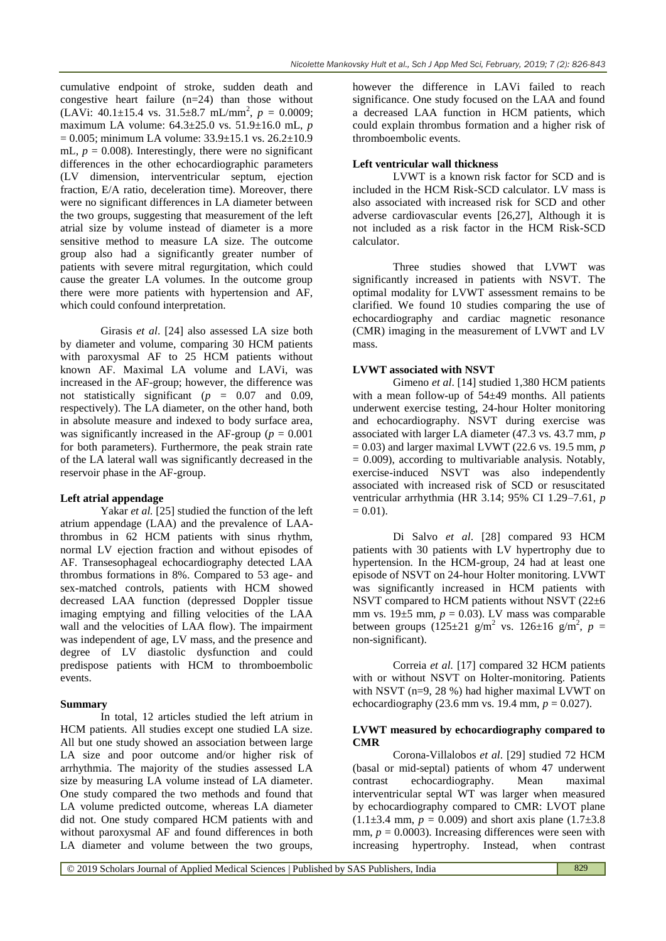cumulative endpoint of stroke, sudden death and congestive heart failure (n=24) than those without  $(LAVi: 40.1 \pm 15.4 \text{ vs. } 31.5 \pm 8.7 \text{ mL/mm}^2$ ,  $p = 0.0009$ ; maximum LA volume: 64.3±25.0 vs. 51.9±16.0 mL, *p*   $= 0.005$ ; minimum LA volume: 33.9 $\pm$ 15.1 vs. 26.2 $\pm$ 10.9 mL,  $p = 0.008$ ). Interestingly, there were no significant differences in the other echocardiographic parameters (LV dimension, interventricular septum, ejection fraction, E/A ratio, deceleration time). Moreover, there were no significant differences in LA diameter between the two groups, suggesting that measurement of the left atrial size by volume instead of diameter is a more sensitive method to measure LA size. The outcome group also had a significantly greater number of patients with severe mitral regurgitation, which could cause the greater LA volumes. In the outcome group there were more patients with hypertension and AF, which could confound interpretation.

Girasis *et al*. [24] also assessed LA size both by diameter and volume, comparing 30 HCM patients with paroxysmal AF to 25 HCM patients without known AF. Maximal LA volume and LAVi, was increased in the AF-group; however, the difference was not statistically significant (*p* = 0.07 and 0.09, respectively). The LA diameter, on the other hand, both in absolute measure and indexed to body surface area, was significantly increased in the AF-group ( $p = 0.001$ ) for both parameters). Furthermore, the peak strain rate of the LA lateral wall was significantly decreased in the reservoir phase in the AF-group.

#### **Left atrial appendage**

Yakar *et al.* [25] studied the function of the left atrium appendage (LAA) and the prevalence of LAAthrombus in 62 HCM patients with sinus rhythm, normal LV ejection fraction and without episodes of AF. Transesophageal echocardiography detected LAA thrombus formations in 8%. Compared to 53 age- and sex-matched controls, patients with HCM showed decreased LAA function (depressed Doppler tissue imaging emptying and filling velocities of the LAA wall and the velocities of LAA flow). The impairment was independent of age, LV mass, and the presence and degree of LV diastolic dysfunction and could predispose patients with HCM to thromboembolic events.

#### **Summary**

In total, 12 articles studied the left atrium in HCM patients. All studies except one studied LA size. All but one study showed an association between large LA size and poor outcome and/or higher risk of arrhythmia. The majority of the studies assessed LA size by measuring LA volume instead of LA diameter. One study compared the two methods and found that LA volume predicted outcome, whereas LA diameter did not. One study compared HCM patients with and without paroxysmal AF and found differences in both LA diameter and volume between the two groups,

however the difference in LAVi failed to reach significance. One study focused on the LAA and found a decreased LAA function in HCM patients, which could explain thrombus formation and a higher risk of thromboembolic events.

## **Left ventricular wall thickness**

LVWT is a known risk factor for SCD and is included in the HCM Risk-SCD calculator. LV mass is also associated with increased risk for SCD and other adverse cardiovascular events [26,27], Although it is not included as a risk factor in the HCM Risk-SCD calculator.

Three studies showed that LVWT was significantly increased in patients with NSVT. The optimal modality for LVWT assessment remains to be clarified. We found 10 studies comparing the use of echocardiography and cardiac magnetic resonance (CMR) imaging in the measurement of LVWT and LV mass.

## **LVWT associated with NSVT**

Gimeno *et al*. [14] studied 1,380 HCM patients with a mean follow-up of 54±49 months. All patients underwent exercise testing, 24-hour Holter monitoring and echocardiography. NSVT during exercise was associated with larger LA diameter (47.3 vs. 43.7 mm, *p*  = 0.03) and larger maximal LVWT (22.6 vs. 19.5 mm, *p*   $= 0.009$ ), according to multivariable analysis. Notably, exercise-induced NSVT was also independently associated with increased risk of SCD or resuscitated ventricular arrhythmia (HR 3.14; 95% CI 1.29–7.61, *p*   $= 0.01$ ).

Di Salvo *et al*. [28] compared 93 HCM patients with 30 patients with LV hypertrophy due to hypertension. In the HCM-group, 24 had at least one episode of NSVT on 24-hour Holter monitoring. LVWT was significantly increased in HCM patients with NSVT compared to HCM patients without NSVT (22±6 mm vs.  $19\pm5$  mm,  $p = 0.03$ ). LV mass was comparable between groups  $(125 \pm 21)$  g/m<sup>2</sup> vs.  $126 \pm 16$  g/m<sup>2</sup>, p = non-significant).

Correia *et al.* [17] compared 32 HCM patients with or without NSVT on Holter-monitoring. Patients with NSVT (n=9, 28 %) had higher maximal LVWT on echocardiography (23.6 mm vs. 19.4 mm,  $p = 0.027$ ).

#### **LVWT measured by echocardiography compared to CMR**

Corona-Villalobos *et al*. [29] studied 72 HCM (basal or mid-septal) patients of whom 47 underwent contrast echocardiography. Mean maximal interventricular septal WT was larger when measured by echocardiography compared to CMR: LVOT plane  $(1.1\pm3.4 \text{ mm}, p = 0.009)$  and short axis plane  $(1.7\pm3.8 \text{ m})$ mm,  $p = 0.0003$ ). Increasing differences were seen with increasing hypertrophy. Instead, when contrast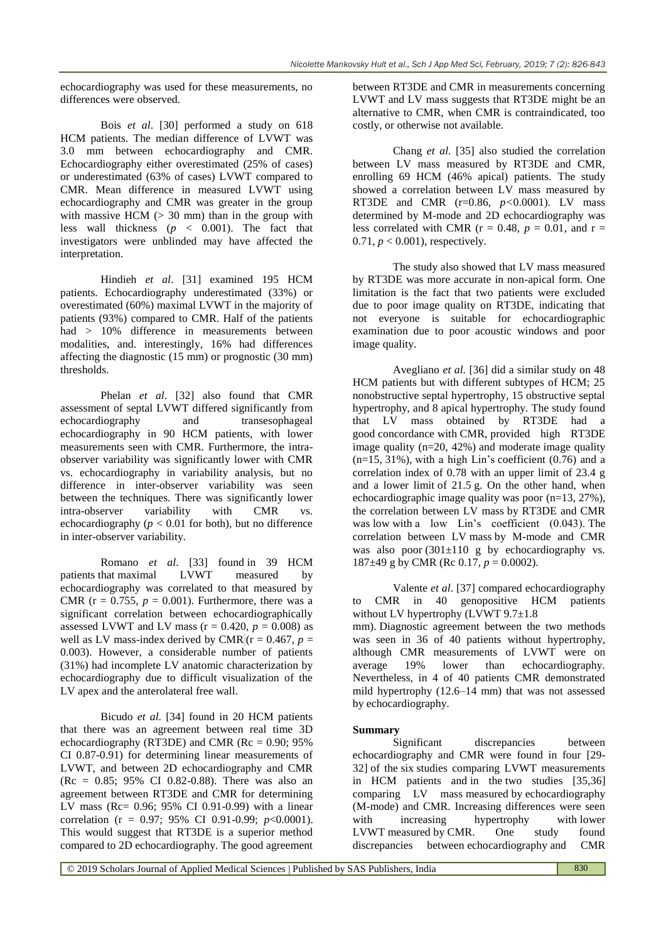echocardiography was used for these measurements, no differences were observed.

Bois *et al*. [30] performed a study on 618 HCM patients. The median difference of LVWT was 3.0 mm between echocardiography and CMR. Echocardiography either overestimated (25% of cases) or underestimated (63% of cases) LVWT compared to CMR. Mean difference in measured LVWT using echocardiography and CMR was greater in the group with massive HCM  $(> 30$  mm) than in the group with less wall thickness (*p* < 0.001). The fact that investigators were unblinded may have affected the interpretation.

Hindieh *et al*. [31] examined 195 HCM patients. Echocardiography underestimated (33%) or overestimated (60%) maximal LVWT in the majority of patients (93%) compared to CMR. Half of the patients had > 10% difference in measurements between modalities, and. interestingly, 16% had differences affecting the diagnostic (15 mm) or prognostic (30 mm) thresholds.

Phelan *et al*. [32] also found that CMR assessment of septal LVWT differed significantly from echocardiography and transesophageal echocardiography in 90 HCM patients, with lower measurements seen with CMR. Furthermore, the intraobserver variability was significantly lower with CMR vs. echocardiography in variability analysis, but no difference in inter-observer variability was seen between the techniques. There was significantly lower intra-observer variability with CMR vs. echocardiography ( $p < 0.01$  for both), but no difference in inter-observer variability.

Romano *et al*. [33] found in 39 HCM patients that maximal LVWT measured by echocardiography was correlated to that measured by CMR ( $r = 0.755$ ,  $p = 0.001$ ). Furthermore, there was a significant correlation between echocardiographically assessed LVWT and LV mass ( $r = 0.420$ ,  $p = 0.008$ ) as well as LV mass-index derived by CMR  $(r = 0.467, p =$ 0.003). However, a considerable number of patients (31%) had incomplete LV anatomic characterization by echocardiography due to difficult visualization of the LV apex and the anterolateral free wall.

Bicudo *et al*. [34] found in 20 HCM patients that there was an agreement between real time 3D echocardiography (RT3DE) and CMR ( $Rc = 0.90$ ; 95% CI 0.87-0.91) for determining linear measurements of LVWT, and between 2D echocardiography and CMR  $(Re = 0.85; 95\% \text{ CI } 0.82-0.88)$ . There was also an agreement between RT3DE and CMR for determining LV mass (Rc= 0.96; 95% CI 0.91-0.99) with a linear correlation (r = 0.97; 95% CI 0.91-0.99; *p*<0.0001). This would suggest that RT3DE is a superior method compared to 2D echocardiography. The good agreement

between RT3DE and CMR in measurements concerning LVWT and LV mass suggests that RT3DE might be an alternative to CMR, when CMR is contraindicated, too costly, or otherwise not available.

Chang *et al*. [35] also studied the correlation between LV mass measured by RT3DE and CMR, enrolling 69 HCM (46% apical) patients. The study showed a correlation between LV mass measured by RT3DE and CMR (r=0.86, *p<*0.0001). LV mass determined by M-mode and 2D echocardiography was less correlated with CMR ( $r = 0.48$ ,  $p = 0.01$ , and  $r =$  $0.71, p < 0.001$ ), respectively.

The study also showed that LV mass measured by RT3DE was more accurate in non-apical form. One limitation is the fact that two patients were excluded due to poor image quality on RT3DE, indicating that not everyone is suitable for echocardiographic examination due to poor acoustic windows and poor image quality.

Avegliano *et al*. [36] did a similar study on 48 HCM patients but with different subtypes of HCM; 25 nonobstructive septal hypertrophy, 15 obstructive septal hypertrophy, and 8 apical hypertrophy. The study found that LV mass obtained by RT3DE had a good concordance with CMR, provided high RT3DE image quality  $(n=20, 42%)$  and moderate image quality  $(n=15, 31\%)$ , with a high Lin's coefficient  $(0.76)$  and a correlation index of 0.78 with an upper limit of 23.4 g and a lower limit of 21.5 g. On the other hand, when echocardiographic image quality was poor (n=13, 27%), the correlation between LV mass by RT3DE and CMR was low with a low Lin's coefficient (0.043). The correlation between LV mass by M-mode and CMR was also poor  $(301\pm110)$  g by echocardiography vs. 187±49 g by CMR (Rc 0.17, *p* = 0.0002).

Valente *et al*. [37] compared echocardiography to CMR in 40 genopositive HCM patients without LV hypertrophy (LVWT 9.7 $\pm$ 1.8

mm). Diagnostic agreement between the two methods was seen in 36 of 40 patients without hypertrophy, although CMR measurements of LVWT were on average 19% lower than echocardiography. Nevertheless, in 4 of 40 patients CMR demonstrated mild hypertrophy (12.6–14 mm) that was not assessed by echocardiography.

#### **Summary**

Significant discrepancies between echocardiography and CMR were found in four [29- 32] of the six studies comparing LVWT measurements in HCM patients and in the two studies [35,36] comparing LV mass measured by echocardiography (M-mode) and CMR. Increasing differences were seen with increasing hypertrophy with lower LVWT measured by CMR. One study found discrepancies between echocardiography and CMR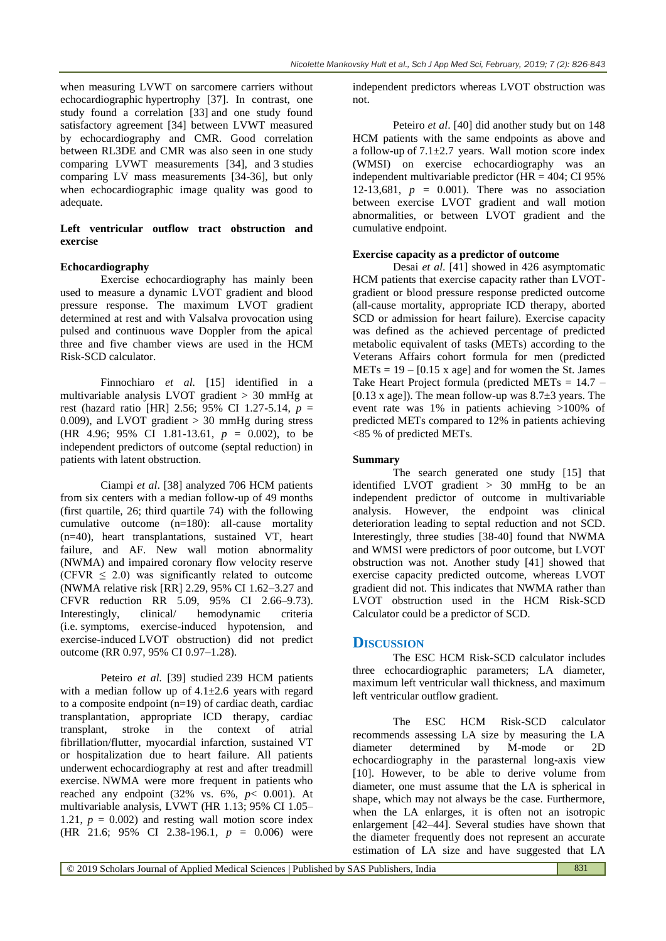when measuring LVWT on sarcomere carriers without echocardiographic hypertrophy [37]. In contrast, one study found a correlation [33] and one study found satisfactory agreement [34] between LVWT measured by echocardiography and CMR. Good correlation between RL3DE and CMR was also seen in one study comparing LVWT measurements [34], and 3 studies comparing LV mass measurements [34-36], but only when echocardiographic image quality was good to adequate.

### **Left ventricular outflow tract obstruction and exercise**

#### **Echocardiography**

Exercise echocardiography has mainly been used to measure a dynamic LVOT gradient and blood pressure response. The maximum LVOT gradient determined at rest and with Valsalva provocation using pulsed and continuous wave Doppler from the apical three and five chamber views are used in the HCM Risk-SCD calculator.

Finnochiaro *et al.* [15] identified in a multivariable analysis LVOT gradient > 30 mmHg at rest (hazard ratio [HR] 2.56; 95% CI 1.27-5.14, *p* = 0.009), and LVOT gradient  $> 30$  mmHg during stress (HR 4.96; 95% CI 1.81-13.61,  $p = 0.002$ ), to be independent predictors of outcome (septal reduction) in patients with latent obstruction.

Ciampi *et al*. [38] analyzed 706 HCM patients from six centers with a median follow-up of 49 months (first quartile, 26; third quartile 74) with the following cumulative outcome (n=180): all-cause mortality (n=40), heart transplantations, sustained VT, heart failure, and AF. New wall motion abnormality (NWMA) and impaired coronary flow velocity reserve (CFVR  $\leq$  2.0) was significantly related to outcome (NWMA relative risk [RR] 2.29, 95% CI 1.62–3.27 and CFVR reduction RR 5.09, 95% CI 2.66–9.73). Interestingly, clinical/ hemodynamic criteria (i.e. symptoms, exercise-induced hypotension, and exercise-induced LVOT obstruction) did not predict outcome (RR 0.97, 95% CI 0.97–1.28).

Peteiro *et al.* [39] studied 239 HCM patients with a median follow up of  $4.1 \pm 2.6$  years with regard to a composite endpoint  $(n=19)$  of cardiac death, cardiac transplantation, appropriate ICD therapy, cardiac transplant, stroke in the context of atrial fibrillation/flutter, myocardial infarction, sustained VT or hospitalization due to heart failure. All patients underwent echocardiography at rest and after treadmill exercise. NWMA were more frequent in patients who reached any endpoint (32% vs. 6%, *p*< 0.001). At multivariable analysis, LVWT (HR 1.13; 95% CI 1.05– 1.21,  $p = 0.002$ ) and resting wall motion score index (HR 21.6; 95% CI 2.38-196.1, *p* = 0.006) were

independent predictors whereas LVOT obstruction was not.

Peteiro *et al*. [40] did another study but on 148 HCM patients with the same endpoints as above and a follow-up of  $7.1 \pm 2.7$  years. Wall motion score index (WMSI) on exercise echocardiography was an independent multivariable predictor  $(HR = 404; CI 95\%)$ 12-13,681,  $p = 0.001$ ). There was no association between exercise LVOT gradient and wall motion abnormalities, or between LVOT gradient and the cumulative endpoint.

#### **Exercise capacity as a predictor of outcome**

Desai *et al*. [41] showed in 426 asymptomatic HCM patients that exercise capacity rather than LVOTgradient or blood pressure response predicted outcome (all-cause mortality, appropriate ICD therapy, aborted SCD or admission for heart failure). Exercise capacity was defined as the achieved percentage of predicted metabolic equivalent of tasks (METs) according to the Veterans Affairs cohort formula for men (predicted  $METs = 19 - [0.15 x age]$  and for women the St. James Take Heart Project formula (predicted MET<sub>s</sub> =  $14.7 -$ [0.13 x age]). The mean follow-up was  $8.7\pm3$  years. The event rate was 1% in patients achieving >100% of predicted METs compared to 12% in patients achieving <85 % of predicted METs.

#### **Summary**

The search generated one study [15] that identified LVOT gradient > 30 mmHg to be an independent predictor of outcome in multivariable analysis. However, the endpoint was clinical deterioration leading to septal reduction and not SCD. Interestingly, three studies [38-40] found that NWMA and WMSI were predictors of poor outcome, but LVOT obstruction was not. Another study [41] showed that exercise capacity predicted outcome, whereas LVOT gradient did not. This indicates that NWMA rather than LVOT obstruction used in the HCM Risk-SCD Calculator could be a predictor of SCD.

#### **DISCUSSION**

The ESC HCM Risk-SCD calculator includes three echocardiographic parameters; LA diameter, maximum left ventricular wall thickness, and maximum left ventricular outflow gradient.

The ESC HCM Risk-SCD calculator recommends assessing LA size by measuring the LA diameter determined by M-mode or 2D echocardiography in the parasternal long-axis view [10]. However, to be able to derive volume from diameter, one must assume that the LA is spherical in shape, which may not always be the case. Furthermore, when the LA enlarges, it is often not an isotropic enlargement [42–44]. Several studies have shown that the diameter frequently does not represent an accurate estimation of LA size and have suggested that LA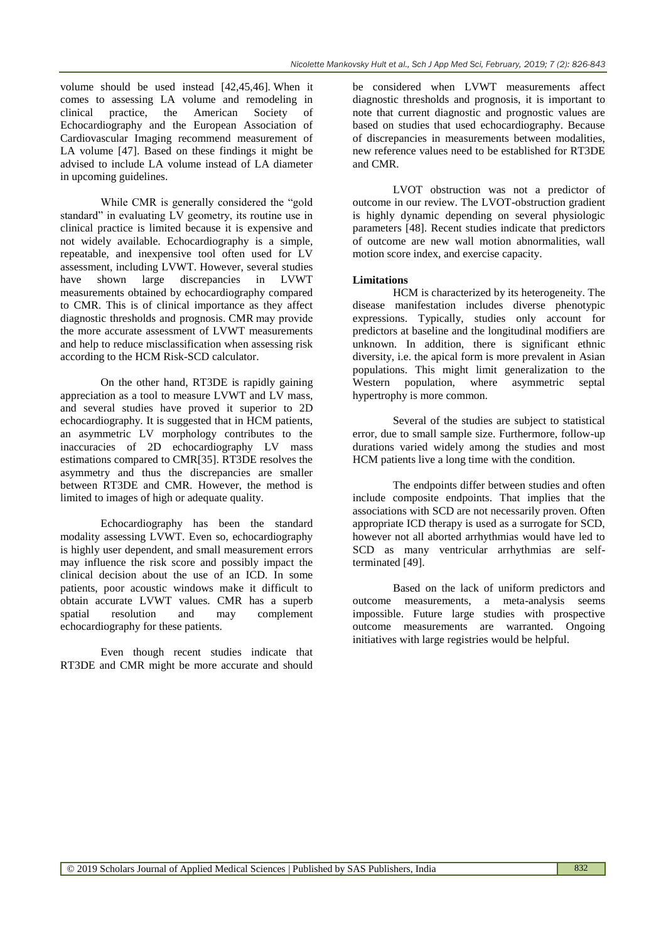volume should be used instead [42,45,46]. When it comes to assessing LA volume and remodeling in clinical practice, the American Society of Echocardiography and the European Association of Cardiovascular Imaging recommend measurement of LA volume [47]. Based on these findings it might be advised to include LA volume instead of LA diameter in upcoming guidelines.

While CMR is generally considered the "gold standard" in evaluating LV geometry, its routine use in clinical practice is limited because it is expensive and not widely available. Echocardiography is a simple, repeatable, and inexpensive tool often used for LV assessment, including LVWT. However, several studies have shown large discrepancies in LVWT measurements obtained by echocardiography compared to CMR. This is of clinical importance as they affect diagnostic thresholds and prognosis. CMR may provide the more accurate assessment of LVWT measurements and help to reduce misclassification when assessing risk according to the HCM Risk-SCD calculator.

On the other hand, RT3DE is rapidly gaining appreciation as a tool to measure LVWT and LV mass, and several studies have proved it superior to 2D echocardiography. It is suggested that in HCM patients, an asymmetric LV morphology contributes to the inaccuracies of 2D echocardiography LV mass estimations compared to CMR[35]. RT3DE resolves the asymmetry and thus the discrepancies are smaller between RT3DE and CMR. However, the method is limited to images of high or adequate quality.

Echocardiography has been the standard modality assessing LVWT. Even so, echocardiography is highly user dependent, and small measurement errors may influence the risk score and possibly impact the clinical decision about the use of an ICD. In some patients, poor acoustic windows make it difficult to obtain accurate LVWT values. CMR has a superb spatial resolution and may complement echocardiography for these patients.

Even though recent studies indicate that RT3DE and CMR might be more accurate and should

be considered when LVWT measurements affect diagnostic thresholds and prognosis, it is important to note that current diagnostic and prognostic values are based on studies that used echocardiography. Because of discrepancies in measurements between modalities, new reference values need to be established for RT3DE and CMR.

LVOT obstruction was not a predictor of outcome in our review. The LVOT-obstruction gradient is highly dynamic depending on several physiologic parameters [48]. Recent studies indicate that predictors of outcome are new wall motion abnormalities, wall motion score index, and exercise capacity.

#### **Limitations**

HCM is characterized by its heterogeneity. The disease manifestation includes diverse phenotypic expressions. Typically, studies only account for predictors at baseline and the longitudinal modifiers are unknown. In addition, there is significant ethnic diversity, i.e. the apical form is more prevalent in Asian populations. This might limit generalization to the Western population, where asymmetric septal hypertrophy is more common.

Several of the studies are subject to statistical error, due to small sample size. Furthermore, follow-up durations varied widely among the studies and most HCM patients live a long time with the condition.

The endpoints differ between studies and often include composite endpoints. That implies that the associations with SCD are not necessarily proven. Often appropriate ICD therapy is used as a surrogate for SCD, however not all aborted arrhythmias would have led to SCD as many ventricular arrhythmias are selfterminated [49].

Based on the lack of uniform predictors and outcome measurements, a meta-analysis seems impossible. Future large studies with prospective outcome measurements are warranted. Ongoing initiatives with large registries would be helpful.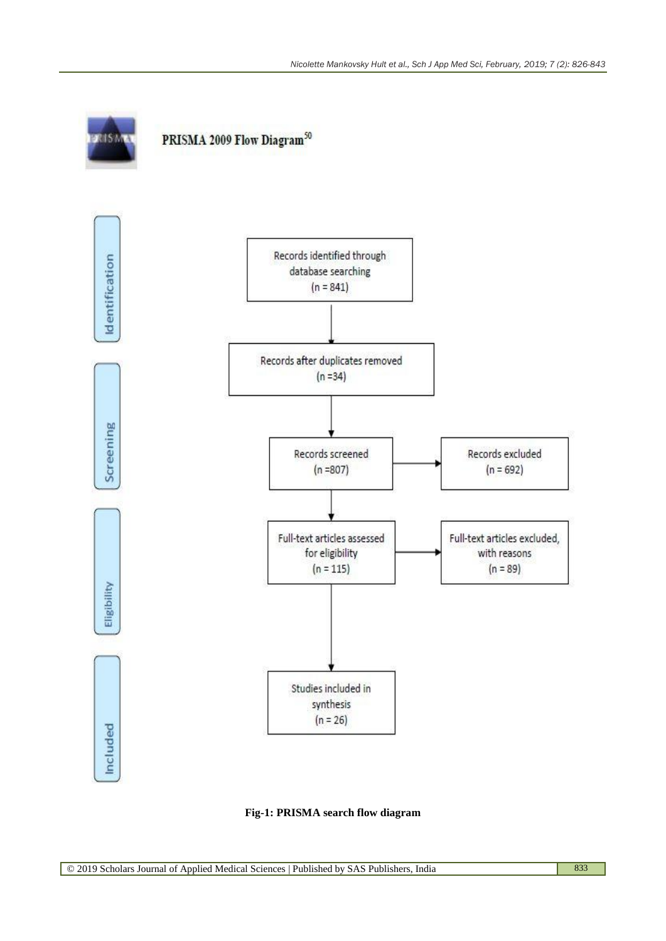

**Fig-1: PRISMA search flow diagram**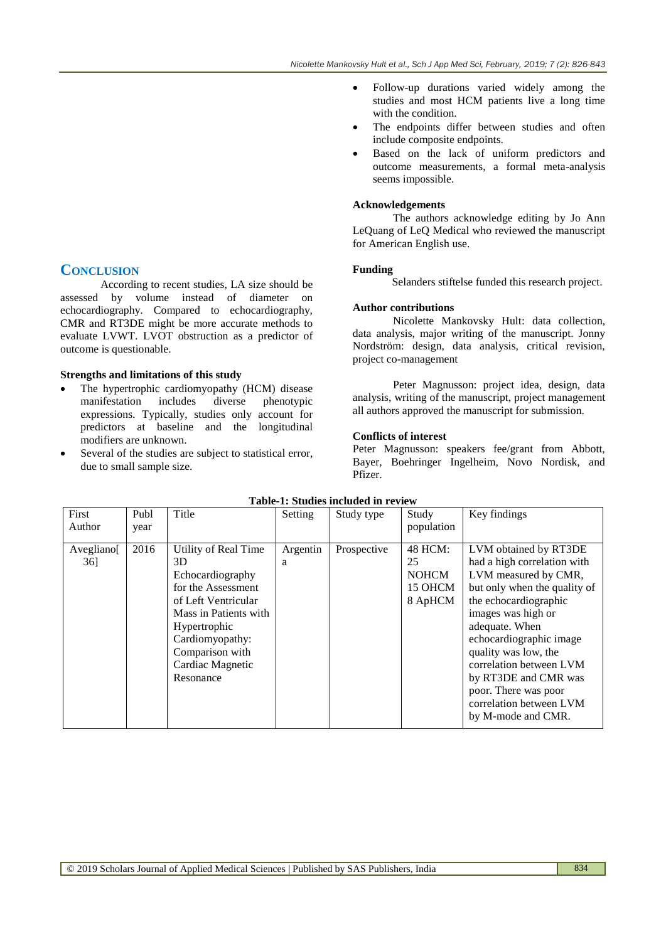- Follow-up durations varied widely among the studies and most HCM patients live a long time with the condition.
- The endpoints differ between studies and often include composite endpoints.
- Based on the lack of uniform predictors and outcome measurements, a formal meta-analysis seems impossible.

#### **Acknowledgements**

The authors acknowledge editing by Jo Ann LeQuang of LeQ Medical who reviewed the manuscript for American English use.

#### **Funding**

Selanders stiftelse funded this research project.

#### **Author contributions**

Nicolette Mankovsky Hult: data collection, data analysis, major writing of the manuscript. Jonny Nordström: design, data analysis, critical revision, project co-management

Peter Magnusson: project idea, design, data analysis, writing of the manuscript, project management all authors approved the manuscript for submission.

#### **Conflicts of interest**

Peter Magnusson: speakers fee/grant from Abbott, Bayer, Boehringer Ingelheim, Novo Nordisk, and Pfizer.

| First<br>Author                  | Publ<br>year | Title                                                                                                                                                                                                        | Setting       | Study type  | Study<br>population                                 | Key findings                                                                                                                                                                                                                                                                                                                                                 |
|----------------------------------|--------------|--------------------------------------------------------------------------------------------------------------------------------------------------------------------------------------------------------------|---------------|-------------|-----------------------------------------------------|--------------------------------------------------------------------------------------------------------------------------------------------------------------------------------------------------------------------------------------------------------------------------------------------------------------------------------------------------------------|
| Avegliano <sup>[14]</sup><br>36] | 2016         | Utility of Real Time<br>3D.<br>Echocardiography<br>for the Assessment<br>of Left Ventricular<br>Mass in Patients with<br>Hypertrophic<br>Cardiomyopathy:<br>Comparison with<br>Cardiac Magnetic<br>Resonance | Argentin<br>a | Prospective | 48 HCM:<br>25<br><b>NOHCM</b><br>15 OHCM<br>8 ApHCM | LVM obtained by RT3DE<br>had a high correlation with<br>LVM measured by CMR,<br>but only when the quality of<br>the echocardiographic<br>images was high or<br>adequate. When<br>echocardiographic image<br>quality was low, the<br>correlation between LVM<br>by RT3DE and CMR was<br>poor. There was poor<br>correlation between LVM<br>by M-mode and CMR. |

#### **Table-1: Studies included in review**

© 2019 Scholars Journal of Applied Medical Sciences | Published by SAS Publishers, India 834

# **CONCLUSION**

According to recent studies, LA size should be assessed by volume instead of diameter on echocardiography. Compared to echocardiography, CMR and RT3DE might be more accurate methods to evaluate LVWT. LVOT obstruction as a predictor of outcome is questionable.

## **Strengths and limitations of this study**

- The hypertrophic cardiomyopathy (HCM) disease manifestation includes diverse phenotypic expressions. Typically, studies only account for predictors at baseline and the longitudinal modifiers are unknown.
- Several of the studies are subject to statistical error, due to small sample size.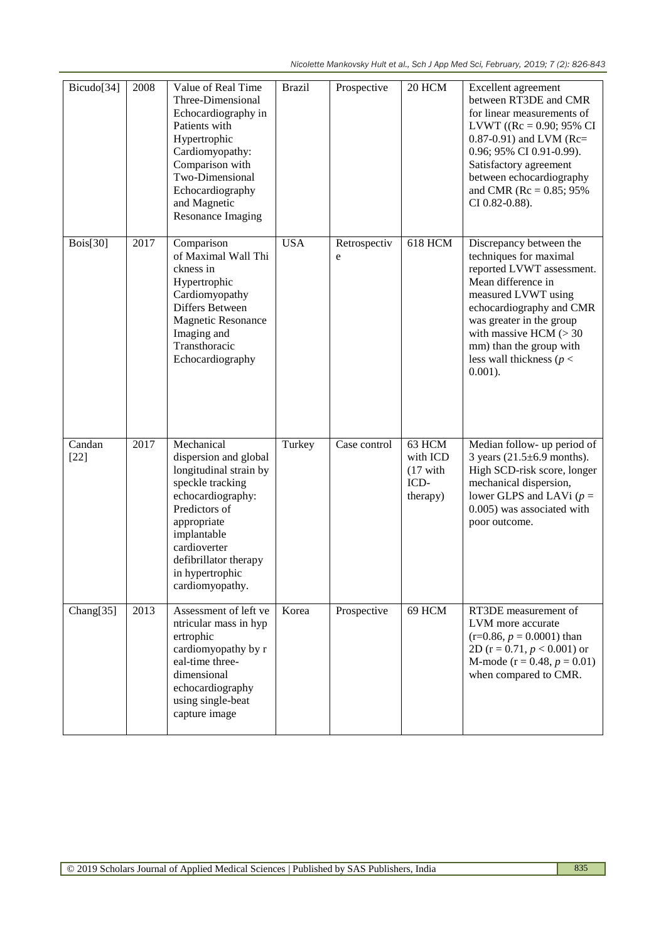| Bicudo[34]       | 2008 | Value of Real Time<br>Three-Dimensional<br>Echocardiography in<br>Patients with<br>Hypertrophic<br>Cardiomyopathy:<br>Comparison with<br>Two-Dimensional<br>Echocardiography<br>and Magnetic<br><b>Resonance Imaging</b>             | <b>Brazil</b> | Prospective       | 20 HCM                                                       | Excellent agreement<br>between RT3DE and CMR<br>for linear measurements of<br>LVWT (( $Rc = 0.90$ ; 95% CI<br>$0.87 - 0.91$ ) and LVM (Rc=<br>0.96; 95% CI 0.91-0.99).<br>Satisfactory agreement<br>between echocardiography<br>and CMR ( $Rc = 0.85$ ; 95%<br>CI 0.82-0.88).          |
|------------------|------|--------------------------------------------------------------------------------------------------------------------------------------------------------------------------------------------------------------------------------------|---------------|-------------------|--------------------------------------------------------------|----------------------------------------------------------------------------------------------------------------------------------------------------------------------------------------------------------------------------------------------------------------------------------------|
| <b>Bois</b> [30] | 2017 | Comparison<br>of Maximal Wall Thi<br>ckness in<br>Hypertrophic<br>Cardiomyopathy<br>Differs Between<br><b>Magnetic Resonance</b><br>Imaging and<br>Transthoracic<br>Echocardiography                                                 | <b>USA</b>    | Retrospectiv<br>e | <b>618 HCM</b>                                               | Discrepancy between the<br>techniques for maximal<br>reported LVWT assessment.<br>Mean difference in<br>measured LVWT using<br>echocardiography and CMR<br>was greater in the group<br>with massive HCM $(>30$<br>mm) than the group with<br>less wall thickness ( $p <$<br>$0.001$ ). |
| Candan<br>$[22]$ | 2017 | Mechanical<br>dispersion and global<br>longitudinal strain by<br>speckle tracking<br>echocardiography:<br>Predictors of<br>appropriate<br>implantable<br>cardioverter<br>defibrillator therapy<br>in hypertrophic<br>cardiomyopathy. | Turkey        | Case control      | 63 HCM<br>with ICD<br>$(17 \text{ with}$<br>ICD-<br>therapy) | Median follow- up period of<br>3 years $(21.5\pm6.9 \text{ months}).$<br>High SCD-risk score, longer<br>mechanical dispersion,<br>lower GLPS and LAVi ( $p =$<br>0.005) was associated with<br>poor outcome.                                                                           |
| Chang[35]        | 2013 | Assessment of left ve<br>ntricular mass in hyp<br>ertrophic<br>cardiomyopathy by r<br>eal-time three-<br>dimensional<br>echocardiography<br>using single-beat<br>capture image                                                       | Korea         | Prospective       | 69 HCM                                                       | RT3DE measurement of<br>LVM more accurate<br>$(r=0.86, p=0.0001)$ than<br>2D ( $r = 0.71$ , $p < 0.001$ ) or<br>M-mode ( $r = 0.48$ , $p = 0.01$ )<br>when compared to CMR.                                                                                                            |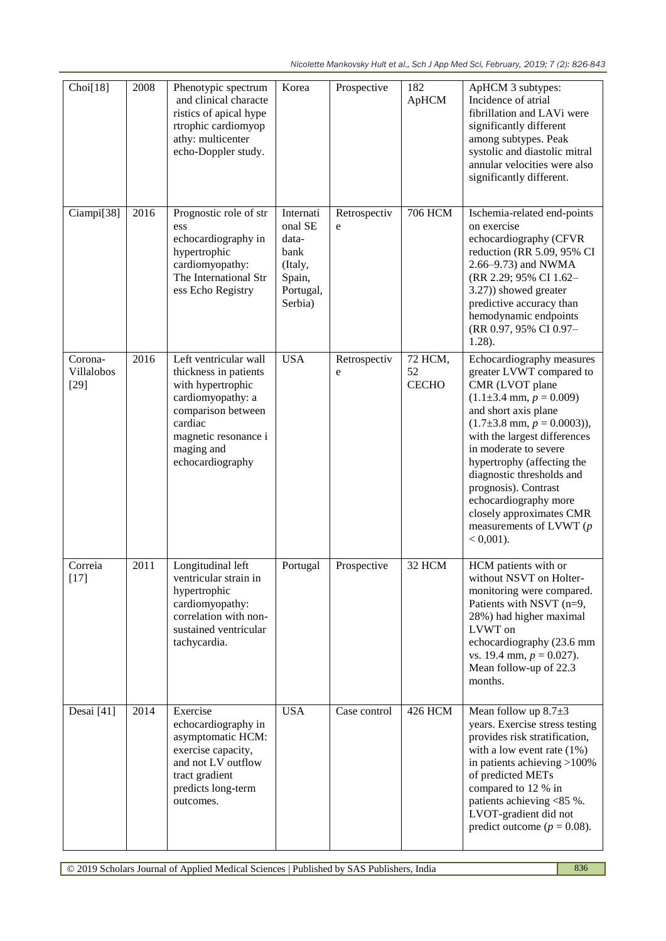| Choi[18]                        | 2008 | Phenotypic spectrum<br>and clinical characte<br>ristics of apical hype<br>rtrophic cardiomyop<br>athy: multicenter<br>echo-Doppler study.                                           | Korea                                                                              | Prospective       | 182<br>ApHCM                  | ApHCM 3 subtypes:<br>Incidence of atrial<br>fibrillation and LAVi were<br>significantly different<br>among subtypes. Peak<br>systolic and diastolic mitral<br>annular velocities were also<br>significantly different.                                                                                                                                                                                                            |
|---------------------------------|------|-------------------------------------------------------------------------------------------------------------------------------------------------------------------------------------|------------------------------------------------------------------------------------|-------------------|-------------------------------|-----------------------------------------------------------------------------------------------------------------------------------------------------------------------------------------------------------------------------------------------------------------------------------------------------------------------------------------------------------------------------------------------------------------------------------|
| Ciampi[38]                      | 2016 | Prognostic role of str<br>ess<br>echocardiography in<br>hypertrophic<br>cardiomyopathy:<br>The International Str<br>ess Echo Registry                                               | Internati<br>onal SE<br>data-<br>bank<br>(Italy,<br>Spain,<br>Portugal,<br>Serbia) | Retrospectiv<br>e | <b>706 HCM</b>                | Ischemia-related end-points<br>on exercise<br>echocardiography (CFVR<br>reduction (RR 5.09, 95% CI<br>2.66–9.73) and NWMA<br>(RR 2.29; 95% CI 1.62-<br>3.27)) showed greater<br>predictive accuracy than<br>hemodynamic endpoints<br>(RR 0.97, 95% CI 0.97-<br>1.28).                                                                                                                                                             |
| Corona-<br>Villalobos<br>$[29]$ | 2016 | Left ventricular wall<br>thickness in patients<br>with hypertrophic<br>cardiomyopathy: a<br>comparison between<br>cardiac<br>magnetic resonance i<br>maging and<br>echocardiography | <b>USA</b>                                                                         | Retrospectiv<br>e | 72 HCM,<br>52<br><b>CECHO</b> | Echocardiography measures<br>greater LVWT compared to<br>CMR (LVOT plane<br>$(1.1\pm3.4 \text{ mm}, p = 0.009)$<br>and short axis plane<br>$(1.7\pm3.8 \text{ mm}, p = 0.0003)$ ),<br>with the largest differences<br>in moderate to severe<br>hypertrophy (affecting the<br>diagnostic thresholds and<br>prognosis). Contrast<br>echocardiography more<br>closely approximates CMR<br>measurements of LVWT $(p)$<br>$< 0,001$ ). |
| Correia<br>$[17]$               | 2011 | Longitudinal left<br>ventricular strain in<br>hypertrophic<br>cardiomyopathy:<br>correlation with non-<br>sustained ventricular<br>tachycardia.                                     | Portugal                                                                           | Prospective       | 32 HCM                        | HCM patients with or<br>without NSVT on Holter-<br>monitoring were compared.<br>Patients with NSVT (n=9,<br>28%) had higher maximal<br>LVWT on<br>echocardiography (23.6 mm<br>vs. 19.4 mm, $p = 0.027$ ).<br>Mean follow-up of 22.3<br>months.                                                                                                                                                                                   |
| Desai [41]                      | 2014 | Exercise<br>echocardiography in<br>asymptomatic HCM:<br>exercise capacity,<br>and not LV outflow<br>tract gradient<br>predicts long-term<br>outcomes.                               | <b>USA</b>                                                                         | Case control      | <b>426 HCM</b>                | Mean follow up $8.7\pm3$<br>years. Exercise stress testing<br>provides risk stratification,<br>with a low event rate $(1\%)$<br>in patients achieving $>100\%$<br>of predicted METs<br>compared to 12 % in<br>patients achieving <85 %.<br>LVOT-gradient did not<br>predict outcome ( $p = 0.08$ ).                                                                                                                               |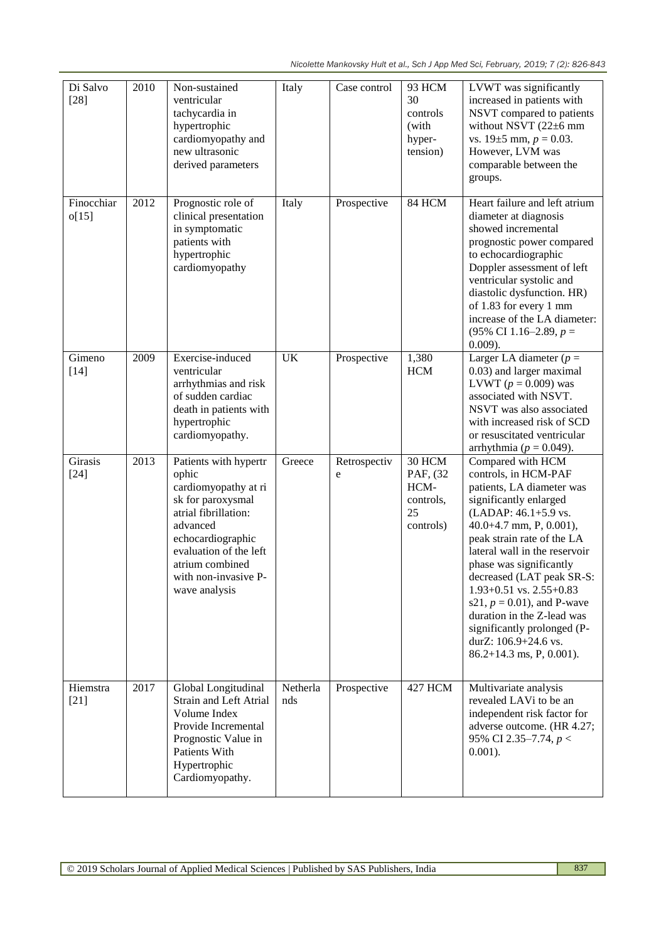*Nicolette Mankovsky Hult et al., Sch J App Med Sci, February, 2019; 7 (2): 826-843*

| Di Salvo<br>$[28]$  | 2010 | Non-sustained<br>ventricular<br>tachycardia in<br>hypertrophic<br>cardiomyopathy and<br>new ultrasonic<br>derived parameters                                                                                               | Italy           | Case control      | 93 HCM<br>30<br>controls<br>(with<br>hyper-<br>tension)    | LVWT was significantly<br>increased in patients with<br>NSVT compared to patients<br>without NSVT (22±6 mm<br>vs. $19\pm 5$ mm, $p = 0.03$ .<br>However, LVM was<br>comparable between the<br>groups.                                                                                                                                                                                                                                                         |
|---------------------|------|----------------------------------------------------------------------------------------------------------------------------------------------------------------------------------------------------------------------------|-----------------|-------------------|------------------------------------------------------------|---------------------------------------------------------------------------------------------------------------------------------------------------------------------------------------------------------------------------------------------------------------------------------------------------------------------------------------------------------------------------------------------------------------------------------------------------------------|
| Finocchiar<br>o[15] | 2012 | Prognostic role of<br>clinical presentation<br>in symptomatic<br>patients with<br>hypertrophic<br>cardiomyopathy                                                                                                           | Italy           | Prospective       | 84 HCM                                                     | Heart failure and left atrium<br>diameter at diagnosis<br>showed incremental<br>prognostic power compared<br>to echocardiographic<br>Doppler assessment of left<br>ventricular systolic and<br>diastolic dysfunction. HR)<br>of 1.83 for every 1 mm<br>increase of the LA diameter:<br>(95% CI 1.16–2.89, $p =$<br>$0.009$ ).                                                                                                                                 |
| Gimeno<br>$[14]$    | 2009 | Exercise-induced<br>ventricular<br>arrhythmias and risk<br>of sudden cardiac<br>death in patients with<br>hypertrophic<br>cardiomyopathy.                                                                                  | <b>UK</b>       | Prospective       | 1,380<br><b>HCM</b>                                        | Larger LA diameter ( $p =$<br>0.03) and larger maximal<br>LVWT ( $p = 0.009$ ) was<br>associated with NSVT.<br>NSVT was also associated<br>with increased risk of SCD<br>or resuscitated ventricular<br>arrhythmia ( $p = 0.049$ ).                                                                                                                                                                                                                           |
| Girasis<br>$[24]$   | 2013 | Patients with hypertr<br>ophic<br>cardiomyopathy at ri<br>sk for paroxysmal<br>atrial fibrillation:<br>advanced<br>echocardiographic<br>evaluation of the left<br>atrium combined<br>with non-invasive P-<br>wave analysis | Greece          | Retrospectiv<br>e | 30 HCM<br>PAF, (32<br>HCM-<br>controls,<br>25<br>controls) | Compared with HCM<br>controls, in HCM-PAF<br>patients, LA diameter was<br>significantly enlarged<br>(LADAP: 46.1+5.9 vs.<br>40.0+4.7 mm, P, 0.001),<br>peak strain rate of the LA<br>lateral wall in the reservoir<br>phase was significantly<br>decreased (LAT peak SR-S:<br>$1.93+0.51$ vs. $2.55+0.83$<br>s21, $p = 0.01$ ), and P-wave<br>duration in the Z-lead was<br>significantly prolonged (P-<br>durZ: 106.9+24.6 vs.<br>$86.2+14.3$ ms, P, 0.001). |
| Hiemstra<br>$[21]$  | 2017 | Global Longitudinal<br>Strain and Left Atrial<br>Volume Index<br>Provide Incremental<br>Prognostic Value in<br>Patients With<br>Hypertrophic<br>Cardiomyopathy.                                                            | Netherla<br>nds | Prospective       | <b>427 HCM</b>                                             | Multivariate analysis<br>revealed LAVi to be an<br>independent risk factor for<br>adverse outcome. (HR 4.27;<br>95% CI 2.35-7.74, $p <$<br>$0.001$ ).                                                                                                                                                                                                                                                                                                         |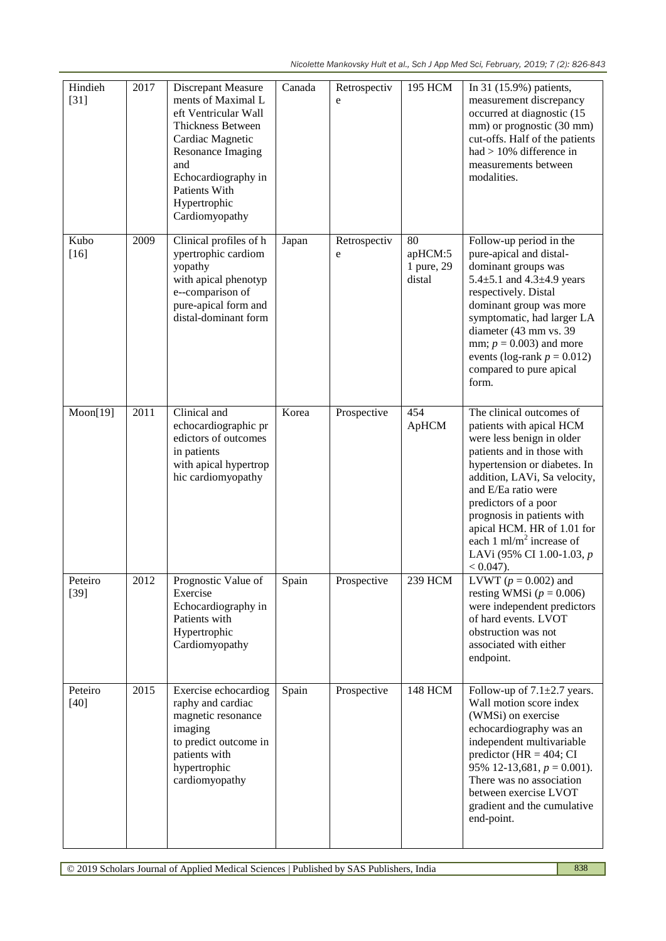| Hindieh<br>$[31]$ | 2017 | Discrepant Measure<br>ments of Maximal L<br>eft Ventricular Wall<br>Thickness Between<br>Cardiac Magnetic<br>Resonance Imaging<br>and<br>Echocardiography in<br>Patients With<br>Hypertrophic<br>Cardiomyopathy | Canada | Retrospectiv<br>e | 195 HCM                               | In 31 (15.9%) patients,<br>measurement discrepancy<br>occurred at diagnostic (15<br>mm) or prognostic (30 mm)<br>cut-offs. Half of the patients<br>had $> 10\%$ difference in<br>measurements between<br>modalities.                                                                                                                                                            |
|-------------------|------|-----------------------------------------------------------------------------------------------------------------------------------------------------------------------------------------------------------------|--------|-------------------|---------------------------------------|---------------------------------------------------------------------------------------------------------------------------------------------------------------------------------------------------------------------------------------------------------------------------------------------------------------------------------------------------------------------------------|
| Kubo<br>$[16]$    | 2009 | Clinical profiles of h<br>ypertrophic cardiom<br>yopathy<br>with apical phenotyp<br>e--comparison of<br>pure-apical form and<br>distal-dominant form                                                            | Japan  | Retrospectiv<br>e | 80<br>apHCM:5<br>1 pure, 29<br>distal | Follow-up period in the<br>pure-apical and distal-<br>dominant groups was<br>5.4 $\pm$ 5.1 and 4.3 $\pm$ 4.9 years<br>respectively. Distal<br>dominant group was more<br>symptomatic, had larger LA<br>diameter (43 mm vs. 39<br>mm; $p = 0.003$ ) and more<br>events (log-rank $p = 0.012$ )<br>compared to pure apical<br>form.                                               |
| Moon[19]          | 2011 | Clinical and<br>echocardiographic pr<br>edictors of outcomes<br>in patients<br>with apical hypertrop<br>hic cardiomyopathy                                                                                      | Korea  | Prospective       | 454<br>ApHCM                          | The clinical outcomes of<br>patients with apical HCM<br>were less benign in older<br>patients and in those with<br>hypertension or diabetes. In<br>addition, LAVi, Sa velocity,<br>and E/Ea ratio were<br>predictors of a poor<br>prognosis in patients with<br>apical HCM. HR of 1.01 for<br>each 1 ml/m <sup>2</sup> increase of<br>LAVi (95% CI 1.00-1.03, p<br>$< 0.047$ ). |
| Peteiro<br>$[39]$ | 2012 | Prognostic Value of<br>Exercise<br>Echocardiography in<br>Patients with<br>Hypertrophic<br>Cardiomyopathy                                                                                                       | Spain  | Prospective       | 239 HCM                               | LVWT ( $p = 0.002$ ) and<br>resting WMSi ( $p = 0.006$ )<br>were independent predictors<br>of hard events. LVOT<br>obstruction was not<br>associated with either<br>endpoint.                                                                                                                                                                                                   |
| Peteiro<br>$[40]$ | 2015 | Exercise echocardiog<br>raphy and cardiac<br>magnetic resonance<br>imaging<br>to predict outcome in<br>patients with<br>hypertrophic<br>cardiomyopathy                                                          | Spain  | Prospective       | <b>148 HCM</b>                        | Follow-up of $7.1 \pm 2.7$ years.<br>Wall motion score index<br>(WMSi) on exercise<br>echocardiography was an<br>independent multivariable<br>predictor (HR = $404$ ; CI<br>95% 12-13,681, $p = 0.001$ ).<br>There was no association<br>between exercise LVOT<br>gradient and the cumulative<br>end-point.                                                                     |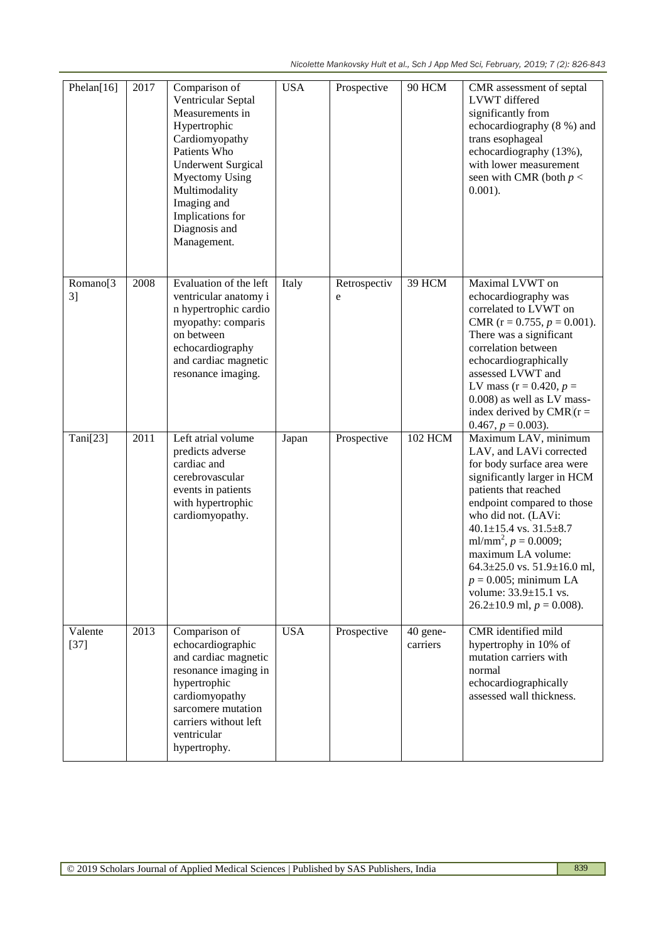| Phelan[16]                             | 2017 | Comparison of<br>Ventricular Septal<br>Measurements in<br>Hypertrophic<br>Cardiomyopathy<br>Patients Who<br><b>Underwent Surgical</b><br><b>Myectomy Using</b><br>Multimodality<br>Imaging and<br>Implications for<br>Diagnosis and<br>Management. | <b>USA</b> | Prospective       | 90 HCM               | CMR assessment of septal<br>LVWT differed<br>significantly from<br>echocardiography (8 %) and<br>trans esophageal<br>echocardiography (13%),<br>with lower measurement<br>seen with CMR (both $p <$<br>$0.001$ ).                                                                                                                                                                                                                   |
|----------------------------------------|------|----------------------------------------------------------------------------------------------------------------------------------------------------------------------------------------------------------------------------------------------------|------------|-------------------|----------------------|-------------------------------------------------------------------------------------------------------------------------------------------------------------------------------------------------------------------------------------------------------------------------------------------------------------------------------------------------------------------------------------------------------------------------------------|
| Romano <sup>[3</sup><br>3 <sup>1</sup> | 2008 | Evaluation of the left<br>ventricular anatomy i<br>n hypertrophic cardio<br>myopathy: comparis<br>on between<br>echocardiography<br>and cardiac magnetic<br>resonance imaging.                                                                     | Italy      | Retrospectiv<br>e | 39 HCM               | Maximal LVWT on<br>echocardiography was<br>correlated to LVWT on<br>CMR ( $r = 0.755$ , $p = 0.001$ ).<br>There was a significant<br>correlation between<br>echocardiographically<br>assessed LVWT and<br>LV mass ( $r = 0.420$ , $p =$<br>0.008) as well as LV mass-<br>index derived by CMR $(r =$<br>$0.467, p = 0.003$ ).                                                                                                       |
| Tani[23]                               | 2011 | Left atrial volume<br>predicts adverse<br>cardiac and<br>cerebrovascular<br>events in patients<br>with hypertrophic<br>cardiomyopathy.                                                                                                             | Japan      | Prospective       | <b>102 HCM</b>       | Maximum LAV, minimum<br>LAV, and LAVi corrected<br>for body surface area were<br>significantly larger in HCM<br>patients that reached<br>endpoint compared to those<br>who did not. (LAVi:<br>$40.1 \pm 15.4$ vs. $31.5 \pm 8.7$<br>ml/mm <sup>2</sup> , $p = 0.0009$ ;<br>maximum LA volume:<br>64.3 $\pm$ 25.0 vs. 51.9 $\pm$ 16.0 ml,<br>$p = 0.005$ ; minimum LA<br>volume: 33.9±15.1 vs.<br>$26.2 \pm 10.9$ ml, $p = 0.008$ ). |
| Valente<br>$[37]$                      | 2013 | Comparison of<br>echocardiographic<br>and cardiac magnetic<br>resonance imaging in<br>hypertrophic<br>cardiomyopathy<br>sarcomere mutation<br>carriers without left<br>ventricular<br>hypertrophy.                                                 | <b>USA</b> | Prospective       | 40 gene-<br>carriers | CMR identified mild<br>hypertrophy in 10% of<br>mutation carriers with<br>normal<br>echocardiographically<br>assessed wall thickness.                                                                                                                                                                                                                                                                                               |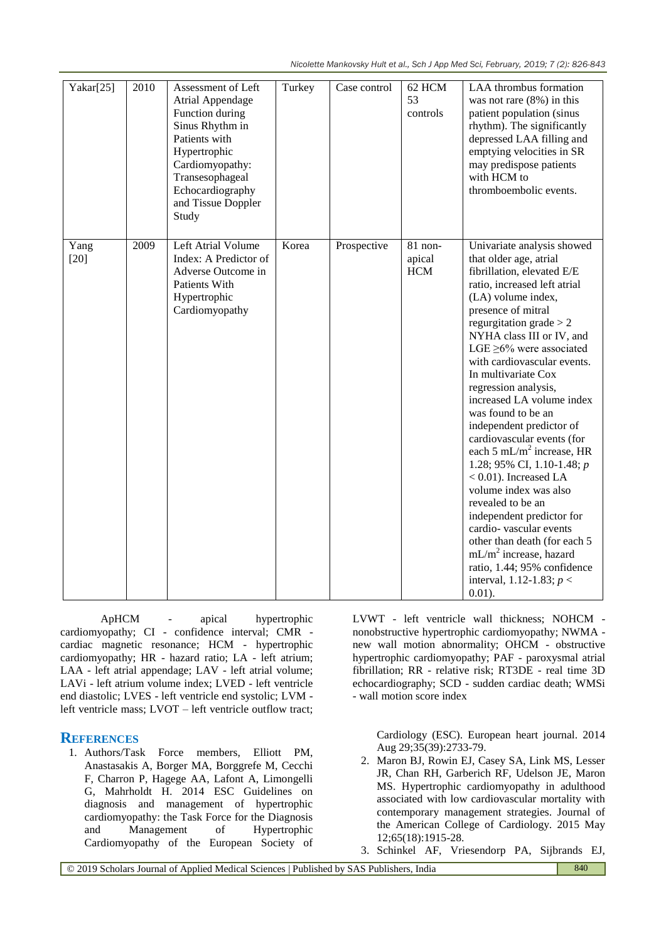*Nicolette Mankovsky Hult et al., Sch J App Med Sci, February, 2019; 7 (2): 826-843*

| Yakar[25]      | 2010 | Assessment of Left<br>Atrial Appendage<br>Function during<br>Sinus Rhythm in<br>Patients with<br>Hypertrophic<br>Cardiomyopathy:<br>Transesophageal<br>Echocardiography<br>and Tissue Doppler<br>Study | Turkey | Case control | 62 HCM<br>53<br>controls        | LAA thrombus formation<br>was not rare $(8\%)$ in this<br>patient population (sinus<br>rhythm). The significantly<br>depressed LAA filling and<br>emptying velocities in SR<br>may predispose patients<br>with HCM to<br>thromboembolic events.                                                                                                                                                                                                                                                                                                                                                                                                                                                                                                                                                      |
|----------------|------|--------------------------------------------------------------------------------------------------------------------------------------------------------------------------------------------------------|--------|--------------|---------------------------------|------------------------------------------------------------------------------------------------------------------------------------------------------------------------------------------------------------------------------------------------------------------------------------------------------------------------------------------------------------------------------------------------------------------------------------------------------------------------------------------------------------------------------------------------------------------------------------------------------------------------------------------------------------------------------------------------------------------------------------------------------------------------------------------------------|
| Yang<br>$[20]$ | 2009 | Left Atrial Volume<br>Index: A Predictor of<br>Adverse Outcome in<br>Patients With<br>Hypertrophic<br>Cardiomyopathy                                                                                   | Korea  | Prospective  | 81 non-<br>apical<br><b>HCM</b> | Univariate analysis showed<br>that older age, atrial<br>fibrillation, elevated E/E<br>ratio, increased left atrial<br>(LA) volume index,<br>presence of mitral<br>regurgitation grade $> 2$<br>NYHA class III or IV, and<br>LGE $\geq$ 6% were associated<br>with cardiovascular events.<br>In multivariate Cox<br>regression analysis,<br>increased LA volume index<br>was found to be an<br>independent predictor of<br>cardiovascular events (for<br>each 5 mL/m <sup>2</sup> increase, HR<br>1.28; 95% CI, 1.10-1.48; $p$<br>$< 0.01$ ). Increased LA<br>volume index was also<br>revealed to be an<br>independent predictor for<br>cardio-vascular events<br>other than death (for each 5<br>$mL/m2$ increase, hazard<br>ratio, 1.44; 95% confidence<br>interval, 1.12-1.83; $p <$<br>$0.01$ ). |

ApHCM - apical hypertrophic cardiomyopathy; CI - confidence interval; CMR cardiac magnetic resonance; HCM - hypertrophic cardiomyopathy; HR - hazard ratio; LA - left atrium; LAA - left atrial appendage; LAV - left atrial volume; LAVi - left atrium volume index; LVED - left ventricle end diastolic; LVES - left ventricle end systolic; LVM left ventricle mass; LVOT – left ventricle outflow tract;

## **REFERENCES**

1. Authors/Task Force members, Elliott PM, Anastasakis A, Borger MA, Borggrefe M, Cecchi F, Charron P, Hagege AA, Lafont A, Limongelli G, Mahrholdt H. 2014 ESC Guidelines on diagnosis and management of hypertrophic cardiomyopathy: the Task Force for the Diagnosis and Management of Hypertrophic Cardiomyopathy of the European Society of LVWT - left ventricle wall thickness; NOHCM nonobstructive hypertrophic cardiomyopathy; NWMA new wall motion abnormality; OHCM - obstructive hypertrophic cardiomyopathy; PAF - paroxysmal atrial fibrillation; RR - relative risk; RT3DE - real time 3D echocardiography; SCD - sudden cardiac death; WMSi - wall motion score index

Cardiology (ESC). European heart journal. 2014 Aug 29;35(39):2733-79.

- 2. Maron BJ, Rowin EJ, Casey SA, Link MS, Lesser JR, Chan RH, Garberich RF, Udelson JE, Maron MS. Hypertrophic cardiomyopathy in adulthood associated with low cardiovascular mortality with contemporary management strategies. Journal of the American College of Cardiology. 2015 May 12;65(18):1915-28.
- 3. Schinkel AF, Vriesendorp PA, Sijbrands EJ,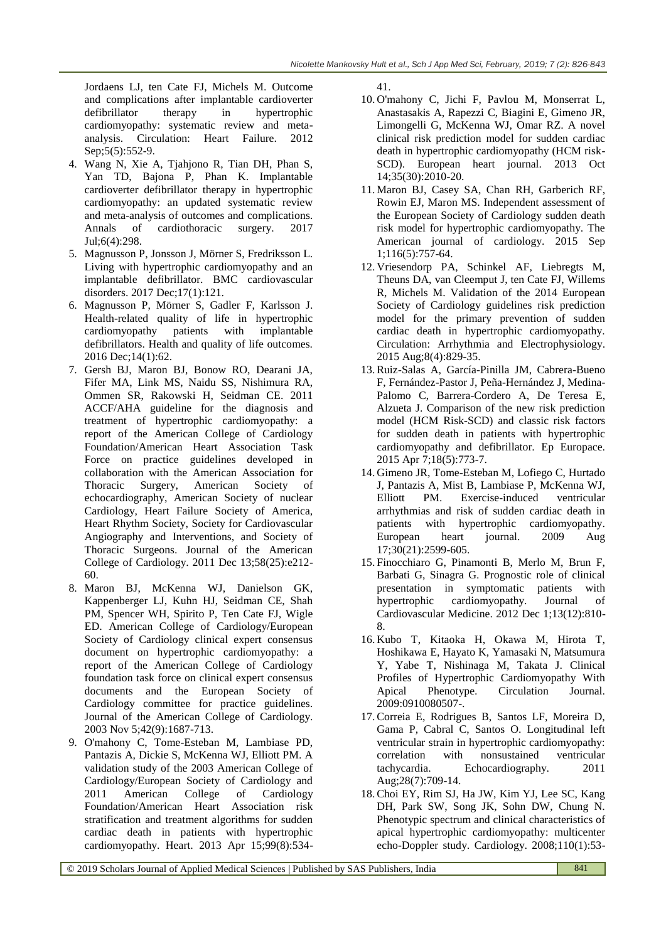Jordaens LJ, ten Cate FJ, Michels M. Outcome and complications after implantable cardioverter defibrillator therapy in hypertrophic cardiomyopathy: systematic review and metaanalysis. Circulation: Heart Failure. 2012 Sep; 5(5): 552-9.

- 4. Wang N, Xie A, Tjahjono R, Tian DH, Phan S, Yan TD, Bajona P, Phan K. Implantable cardioverter defibrillator therapy in hypertrophic cardiomyopathy: an updated systematic review and meta-analysis of outcomes and complications. Annals of cardiothoracic surgery. 2017 Jul;6(4):298.
- 5. Magnusson P, Jonsson J, Mörner S, Fredriksson L. Living with hypertrophic cardiomyopathy and an implantable defibrillator. BMC cardiovascular disorders. 2017 Dec;17(1):121.
- 6. Magnusson P, Mörner S, Gadler F, Karlsson J. Health-related quality of life in hypertrophic cardiomyopathy patients with implantable defibrillators. Health and quality of life outcomes. 2016 Dec;14(1):62.
- 7. Gersh BJ, Maron BJ, Bonow RO, Dearani JA, Fifer MA, Link MS, Naidu SS, Nishimura RA, Ommen SR, Rakowski H, Seidman CE. 2011 ACCF/AHA guideline for the diagnosis and treatment of hypertrophic cardiomyopathy: a report of the American College of Cardiology Foundation/American Heart Association Task Force on practice guidelines developed in collaboration with the American Association for Thoracic Surgery, American Society of echocardiography, American Society of nuclear Cardiology, Heart Failure Society of America, Heart Rhythm Society, Society for Cardiovascular Angiography and Interventions, and Society of Thoracic Surgeons. Journal of the American College of Cardiology. 2011 Dec 13;58(25):e212- 60.
- 8. Maron BJ, McKenna WJ, Danielson GK, Kappenberger LJ, Kuhn HJ, Seidman CE, Shah PM, Spencer WH, Spirito P, Ten Cate FJ, Wigle ED. American College of Cardiology/European Society of Cardiology clinical expert consensus document on hypertrophic cardiomyopathy: a report of the American College of Cardiology foundation task force on clinical expert consensus documents and the European Society of Cardiology committee for practice guidelines. Journal of the American College of Cardiology. 2003 Nov 5;42(9):1687-713.
- 9. O'mahony C, Tome-Esteban M, Lambiase PD, Pantazis A, Dickie S, McKenna WJ, Elliott PM. A validation study of the 2003 American College of Cardiology/European Society of Cardiology and 2011 American College of Cardiology Foundation/American Heart Association risk stratification and treatment algorithms for sudden cardiac death in patients with hypertrophic cardiomyopathy. Heart. 2013 Apr 15;99(8):534-

41.

- 10. O'mahony C, Jichi F, Pavlou M, Monserrat L, Anastasakis A, Rapezzi C, Biagini E, Gimeno JR, Limongelli G, McKenna WJ, Omar RZ. A novel clinical risk prediction model for sudden cardiac death in hypertrophic cardiomyopathy (HCM risk-SCD). European heart journal. 2013 Oct 14;35(30):2010-20.
- 11. Maron BJ, Casey SA, Chan RH, Garberich RF, Rowin EJ, Maron MS. Independent assessment of the European Society of Cardiology sudden death risk model for hypertrophic cardiomyopathy. The American journal of cardiology. 2015 Sep 1;116(5):757-64.
- 12. Vriesendorp PA, Schinkel AF, Liebregts M, Theuns DA, van Cleemput J, ten Cate FJ, Willems R, Michels M. Validation of the 2014 European Society of Cardiology guidelines risk prediction model for the primary prevention of sudden cardiac death in hypertrophic cardiomyopathy. Circulation: Arrhythmia and Electrophysiology. 2015 Aug;8(4):829-35.
- 13.Ruiz-Salas A, García-Pinilla JM, Cabrera-Bueno F, Fernández-Pastor J, Peña-Hernández J, Medina-Palomo C, Barrera-Cordero A, De Teresa E, Alzueta J. Comparison of the new risk prediction model (HCM Risk-SCD) and classic risk factors for sudden death in patients with hypertrophic cardiomyopathy and defibrillator. Ep Europace. 2015 Apr 7;18(5):773-7.
- 14. Gimeno JR, Tome-Esteban M, Lofiego C, Hurtado J, Pantazis A, Mist B, Lambiase P, McKenna WJ, Elliott PM. Exercise-induced ventricular arrhythmias and risk of sudden cardiac death in patients with hypertrophic cardiomyopathy. European heart journal. 2009 Aug 17;30(21):2599-605.
- 15. Finocchiaro G, Pinamonti B, Merlo M, Brun F, Barbati G, Sinagra G. Prognostic role of clinical presentation in symptomatic patients with hypertrophic cardiomyopathy. Journal of Cardiovascular Medicine. 2012 Dec 1;13(12):810- 8.
- 16. Kubo T, Kitaoka H, Okawa M, Hirota T, Hoshikawa E, Hayato K, Yamasaki N, Matsumura Y, Yabe T, Nishinaga M, Takata J. Clinical Profiles of Hypertrophic Cardiomyopathy With Apical Phenotype. Circulation Journal. 2009:0910080507-.
- 17.Correia E, Rodrigues B, Santos LF, Moreira D, Gama P, Cabral C, Santos O. Longitudinal left ventricular strain in hypertrophic cardiomyopathy: correlation with nonsustained ventricular tachycardia. Echocardiography. 2011 Aug;28(7):709-14.
- 18.Choi EY, Rim SJ, Ha JW, Kim YJ, Lee SC, Kang DH, Park SW, Song JK, Sohn DW, Chung N. Phenotypic spectrum and clinical characteristics of apical hypertrophic cardiomyopathy: multicenter echo-Doppler study. Cardiology. 2008;110(1):53-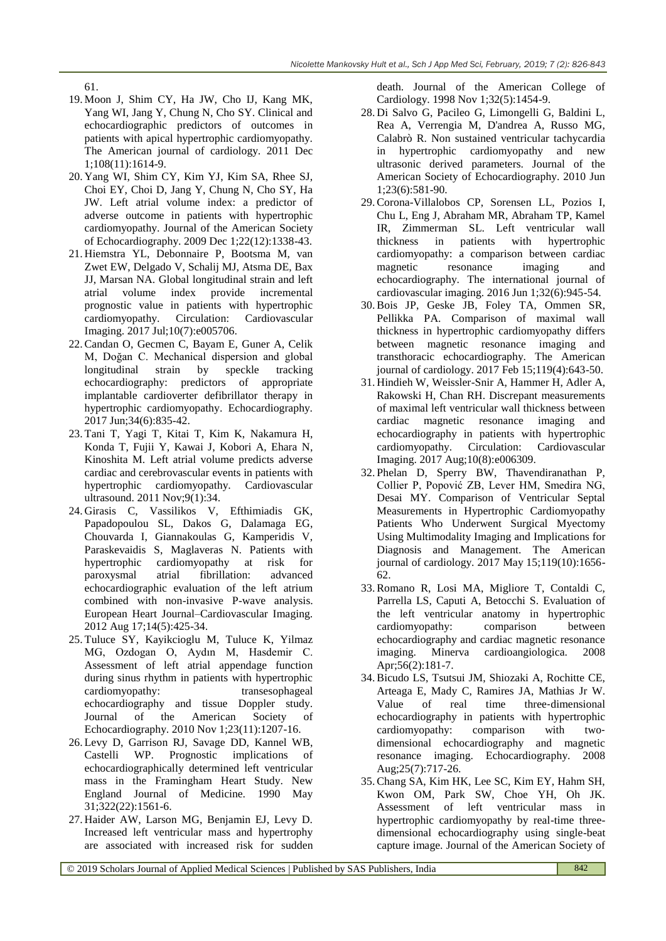61.

- 19. Moon J, Shim CY, Ha JW, Cho IJ, Kang MK, Yang WI, Jang Y, Chung N, Cho SY. Clinical and echocardiographic predictors of outcomes in patients with apical hypertrophic cardiomyopathy. The American journal of cardiology. 2011 Dec 1;108(11):1614-9.
- 20. Yang WI, Shim CY, Kim YJ, Kim SA, Rhee SJ, Choi EY, Choi D, Jang Y, Chung N, Cho SY, Ha JW. Left atrial volume index: a predictor of adverse outcome in patients with hypertrophic cardiomyopathy. Journal of the American Society of Echocardiography. 2009 Dec 1;22(12):1338-43.
- 21. Hiemstra YL, Debonnaire P, Bootsma M, van Zwet EW, Delgado V, Schalij MJ, Atsma DE, Bax JJ, Marsan NA. Global longitudinal strain and left atrial volume index provide incremental prognostic value in patients with hypertrophic cardiomyopathy. Circulation: Cardiovascular Imaging. 2017 Jul;10(7):e005706.
- 22.Candan O, Gecmen C, Bayam E, Guner A, Celik M, Doğan C. Mechanical dispersion and global longitudinal strain by speckle tracking echocardiography: predictors of appropriate implantable cardioverter defibrillator therapy in hypertrophic cardiomyopathy. Echocardiography. 2017 Jun;34(6):835-42.
- 23. Tani T, Yagi T, Kitai T, Kim K, Nakamura H, Konda T, Fujii Y, Kawai J, Kobori A, Ehara N, Kinoshita M. Left atrial volume predicts adverse cardiac and cerebrovascular events in patients with hypertrophic cardiomyopathy. Cardiovascular ultrasound. 2011 Nov;9(1):34.
- 24. Girasis C, Vassilikos V, Efthimiadis GK, Papadopoulou SL, Dakos G, Dalamaga EG, Chouvarda I, Giannakoulas G, Kamperidis V, Paraskevaidis S, Maglaveras N. Patients with hypertrophic cardiomyopathy at risk for paroxysmal atrial fibrillation: advanced echocardiographic evaluation of the left atrium combined with non-invasive P-wave analysis. European Heart Journal–Cardiovascular Imaging. 2012 Aug 17;14(5):425-34.
- 25. Tuluce SY, Kayikcioglu M, Tuluce K, Yilmaz MG, Ozdogan O, Aydın M, Hasdemir C. Assessment of left atrial appendage function during sinus rhythm in patients with hypertrophic cardiomyopathy: transesophageal echocardiography and tissue Doppler study. Journal of the American Society of Echocardiography. 2010 Nov 1;23(11):1207-16.
- 26. Levy D, Garrison RJ, Savage DD, Kannel WB, Castelli WP. Prognostic implications of echocardiographically determined left ventricular mass in the Framingham Heart Study. New England Journal of Medicine. 1990 May 31;322(22):1561-6.
- 27. Haider AW, Larson MG, Benjamin EJ, Levy D. Increased left ventricular mass and hypertrophy are associated with increased risk for sudden

death. Journal of the American College of Cardiology. 1998 Nov 1;32(5):1454-9.

- 28. Di Salvo G, Pacileo G, Limongelli G, Baldini L, Rea A, Verrengia M, D'andrea A, Russo MG, Calabrò R. Non sustained ventricular tachycardia in hypertrophic cardiomyopathy and new ultrasonic derived parameters. Journal of the American Society of Echocardiography. 2010 Jun 1;23(6):581-90.
- 29.Corona-Villalobos CP, Sorensen LL, Pozios I, Chu L, Eng J, Abraham MR, Abraham TP, Kamel IR, Zimmerman SL. Left ventricular wall thickness in patients with hypertrophic cardiomyopathy: a comparison between cardiac magnetic resonance imaging and echocardiography. The international journal of cardiovascular imaging. 2016 Jun 1;32(6):945-54.
- 30.Bois JP, Geske JB, Foley TA, Ommen SR, Pellikka PA. Comparison of maximal wall thickness in hypertrophic cardiomyopathy differs between magnetic resonance imaging and transthoracic echocardiography. The American journal of cardiology. 2017 Feb 15;119(4):643-50.
- 31. Hindieh W, Weissler-Snir A, Hammer H, Adler A, Rakowski H, Chan RH. Discrepant measurements of maximal left ventricular wall thickness between cardiac magnetic resonance imaging and echocardiography in patients with hypertrophic cardiomyopathy. Circulation: Cardiovascular Imaging. 2017 Aug;10(8):e006309.
- 32. Phelan D, Sperry BW, Thavendiranathan P, Collier P, Popović ZB, Lever HM, Smedira NG, Desai MY. Comparison of Ventricular Septal Measurements in Hypertrophic Cardiomyopathy Patients Who Underwent Surgical Myectomy Using Multimodality Imaging and Implications for Diagnosis and Management. The American journal of cardiology. 2017 May 15;119(10):1656- 62.
- 33.Romano R, Losi MA, Migliore T, Contaldi C, Parrella LS, Caputi A, Betocchi S. Evaluation of the left ventricular anatomy in hypertrophic cardiomyopathy: comparison between echocardiography and cardiac magnetic resonance imaging. Minerva cardioangiologica. 2008 Apr;56(2):181-7.
- 34.Bicudo LS, Tsutsui JM, Shiozaki A, Rochitte CE, Arteaga E, Mady C, Ramires JA, Mathias Jr W. Value of real time three-dimensional echocardiography in patients with hypertrophic cardiomyopathy: comparison with twodimensional echocardiography and magnetic resonance imaging. Echocardiography. 2008 Aug;25(7):717-26.
- 35.Chang SA, Kim HK, Lee SC, Kim EY, Hahm SH, Kwon OM, Park SW, Choe YH, Oh JK. Assessment of left ventricular mass in hypertrophic cardiomyopathy by real-time threedimensional echocardiography using single-beat capture image. Journal of the American Society of